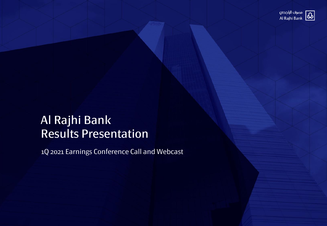

## Al Rajhi Bank Results Presentation

1Q 2021 Earnings Conference Call and Webcast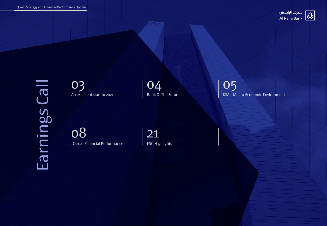

Earnings Call Earnings Call

03 An excellent start to 2021

08 1Q 2021 Financial Performance

21 ESG Highlights

04

Bank Of The Future

05 KSA's Macro-Economic Environment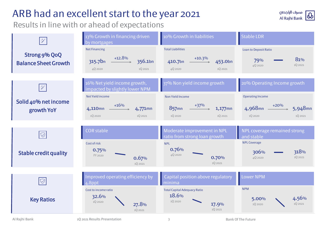## ARB had an excellent start to the year 2021

Results in line with or ahead of expectations



3

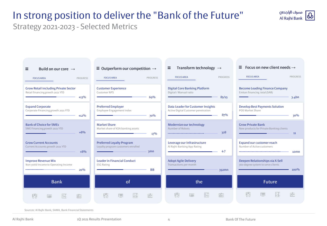## In strong position to deliver the "Bank of the Future"

مصرف الراجحى Al Rajhi Bank

Strategy 2021-2023 - Selected Metrics



Sources: Al Rajhi Bank, SAMA, Bank Financial Statements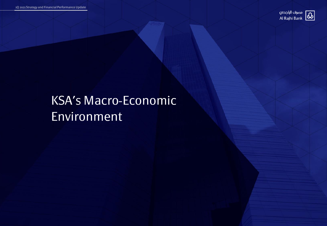

# KSA's Macro-Economic Environment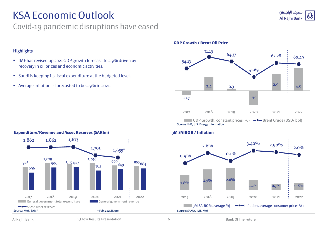#### مصرف الراجحى **Al Rajhi Bank**

## KSA Economic Outlook

### Covid-19 pandemic disruptions have eased

#### **Highlights**

- IMF has revised up 2021 GDP growth forecast to 2.9% driven by recovery in oil prices and economic activities.
- Saudi is keeping its fiscal expenditure at the budgeted level.
- Average inflation is forecasted to be 2.9% in 2021.

#### **GDP Growth / Brent Oil Price**



#### 7.0 % **3M SAIBOR / Inflation**



#### **Expenditure/Revenue and Asset Reserves (SARbn)**

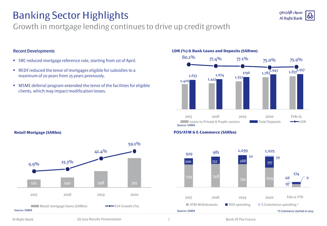## Banking Sector Highlights

### Growth in mortgage lending continues to drive up credit growth

#### Recent Developments

- SRC reduced mortgage reference rate, starting from 1st of April.
- REDF reduced the tenor of mortgages eligible for subsidies to a maximum of 20 years from 25 years previously.
- MSME deferral program extended the tenor of the facilities for eligible clients, which may impact modification losses.

#### **LDR (%) & Bank Loans and Deposits (SARmn)**



مصرف الراجحى **Al Rajhi Bank** 

#### **POS/ATM & E-Commerce (SARbn)**



#### **Retail Mortgage (SARbn)**

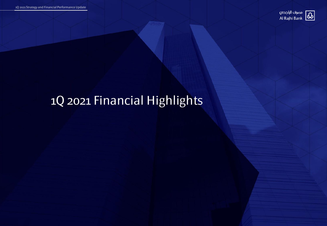

# 1Q 2021 Financial Highlights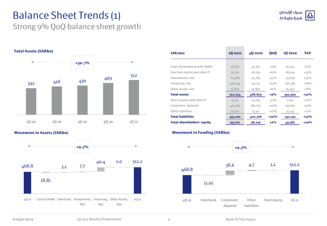## Balance Sheet Trends (1)

### Strong 9% QoQ balance sheet growth



**Movement in Assets (SARbn)**



| SAR (mn)                          | 10 20 21 | 40 20 20 | QoQ     | 10 20 20 | YoY     |
|-----------------------------------|----------|----------|---------|----------|---------|
|                                   |          |          |         |          |         |
| Cash and balances with SAMA       | 38,562   | 47,363   | $-19\%$ | 36,293   | $+6\%$  |
| Due from banks and other FI       | 31,730   | 28,655   | $+11\%$ | 28,014   | $+13\%$ |
| Investments, net                  | 67,968   | 60,285   | $+13\%$ | 49,658   | $+37\%$ |
| Financing, net                    | 356,144  | 315,712  | $+13\%$ | 261,385  | $+36%$  |
| Other assets, net                 | 17,829   | 16,810   | $+6\%$  | 16,552   | $+8%$   |
| <b>Total assets</b>               | 512,234  | 468,825  | $+9%$   | 391,901  | $+31\%$ |
| Due to banks and other FI         | 9,731    | 10,764   | $-10\%$ | 5,511    | $+77\%$ |
| Customers' deposits               | 421,269  | 382,631  | $+10\%$ | 315,661  | $+33\%$ |
| Other liabilities                 | 22,012   | 17,311   | $+27\%$ | 21,143   | $+4%$   |
| <b>Total liabilities</b>          | 453,011  | 410,706  | $+10%$  | 342,315  | $+32\%$ |
| <b>Total shareholders' equity</b> | 59,222   | 58,119   | $+2\%$  | 49,587   | $+19%$  |

**Contract Contract Contract** 

#### **Movement in Funding (SARbn)**



9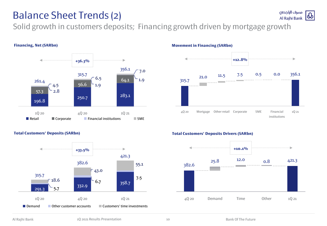### Balance Sheet Trends (2)

Solid growth in customers deposits; Financing growth driven by mortgage growth



#### **Financing, Net (SARbn)**



#### **Total Customers' Deposits (SARbn)**



#### **Total Customers' Deposits Drivers (SARbn)**

**Movement in Financing (SARbn)**



10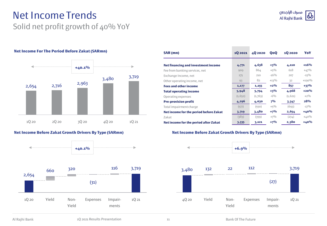### Net Income Trends Solid net profit growth of 40% YoY

#### **Net Income For The Period Before Zakat (SARmn)**



#### **Net Income Before Zakat Growth Drivers By Type (SARmn)**



| SAR (mn)                                   | 10 20 21 | 40 20 20 | QoQ     | 10 20 20 | YoY     |
|--------------------------------------------|----------|----------|---------|----------|---------|
| <b>Net financing and investment income</b> | 4,771    | 4,638    | $+3%$   | 4,110    | $+16%$  |
| Fee from banking services, net             | 909      | 864      | $+5\%$  | 618      | $+47\%$ |
| Exchange Income, net                       | 175      | 210      | $-16%$  | 207      | $-15\%$ |
| Other operating income, net                | 93       | 82       | $+13\%$ | 32       | $+190%$ |
| <b>Fees and other income</b>               | 1,177    | 1,155    | $+2%$   | 857      | $+37%$  |
| <b>Total operating income</b>              | 5,948    | 5,794    | $+3%$   | 4,968    | $+20%$  |
| Operating expenses                         | (1, 652) | (1,763)  | $-6\%$  | (1,621)  | $+2\%$  |
| <b>Pre-provision profit</b>                | 4,296    | 4,030    | 7%      | 3,347    | 28%     |
| Total impairment charge                    | (577)    | (550)    | $+5\%$  | (693)    | $-17\%$ |
| Net income for the period before Zakat     | 3,719    | 3,480    | $+7%$   | 2,654    | $+40%$  |
| Zakat                                      | (383)    | (359)    | $+7\%$  | (274)    | $+40%$  |
| Net income for the period after Zakat      | 3,335    | 3,121    | $+7%$   | 2,380    | $+40%$  |

**The Committee State** 

#### **Net Income Before Zakat Growth Drivers By Type (SARmn)**

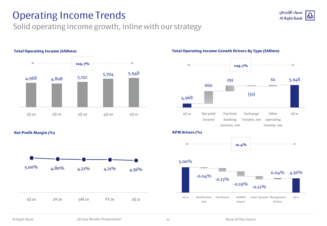## Operating Income Trends

### Solid operating income growth, inline with our strategy



#### **Total Operating Income (SARmn)**

**Net Profit Margin (%)**



#### **Total Operating Income Growth Drivers By Type (SARmn)**

مصرف الراجحى

Al Rajhi Bank

ω



1Q 20 Modification Fee Waiver SAIBOR loss Impact Lower Spreads Management Actions 1Q 21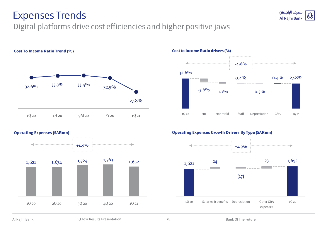### Expenses Trends

**Cost To Income Ratio Trend (%)**

### Digital platforms drive cost efficiencies and higher positive jaws





مصرف الراجحى

Al Rajhi Bank

ω

#### **Cost to Income Ratio drivers (%)**

1Q 20 NII Non Yield Staff Depreciation G&A 1Q 21

#### **Operating Expenses (SARmn)**



#### **Operating Expenses Growth Drivers By Type (SARmn)**

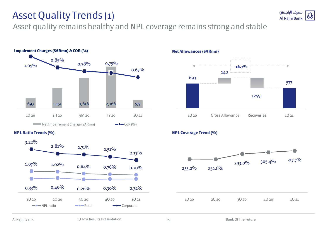## Asset Quality Trends (1)

Asset quality remains healthy and NPL coverage remains strong and stable



#### **NPL Ratio Trends (%)**



**Net Allowances (SARmn)**



#### **NPL Coverage Trend (%)**

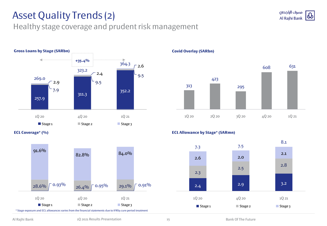## Asset Quality Trends (2)

#### مصرف الراجحى Ψ **Al Rajhi Bank**

Healthy stage coverage and prudent risk management



**ECL Coverage\* (%)**



**Covid Overlay (SARbn)**



#### **ECL Allowance by Stage\* (SARmn)**

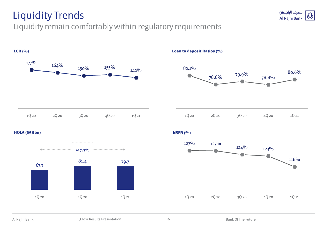## Liquidity Trends

### Liquidity remain comfortably within regulatory requirements



مصرف الراجحى Al Rajhi Bank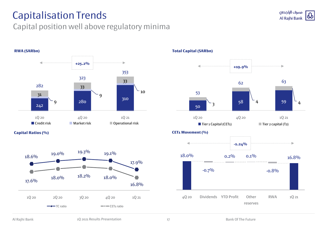## Capitalisation Trends

### Capital position well above regulatory minima







**Total Capital (SARbn)**

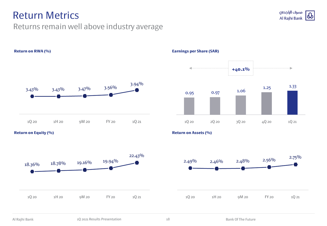### Return Metrics

### Returns remain well above industry average



**Return on Equity (%)**







**Return on Assets (%)**



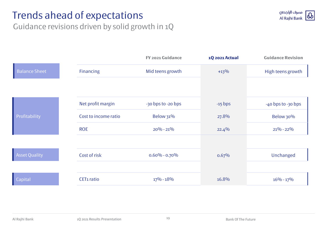## Trends ahead of expectations



Guidance revisions driven by solid growth in 1Q

|                      |                        | FY 2021 Guidance   | <b>1Q 2021 Actual</b> | <b>Guidance Revision</b> |
|----------------------|------------------------|--------------------|-----------------------|--------------------------|
| <b>Balance Sheet</b> | <b>Financing</b>       | Mid teens growth   | $+13%$                | High teens growth        |
|                      |                        |                    |                       |                          |
|                      | Net profit margin      | -30 bps to -20 bps | $-15$ bps             | -40 bps to -30 bps       |
| Profitability        | Cost to income ratio   | <b>Below 31%</b>   | 27.8%                 | Below 30%                |
|                      | <b>ROE</b>             | $20\% - 21\%$      | 22.4%                 | $21\% - 22\%$            |
|                      |                        |                    |                       |                          |
| <b>Asset Quality</b> | Cost of risk           | $0.60\% - 0.70\%$  | 0.67%                 | Unchanged                |
|                      |                        |                    |                       |                          |
| Capital              | CET <sub>1</sub> ratio | $17\% - 18\%$      | 16.8%                 | $16\% - 17\%$            |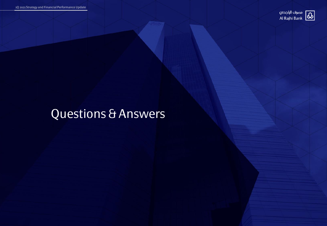

# Questions & Answers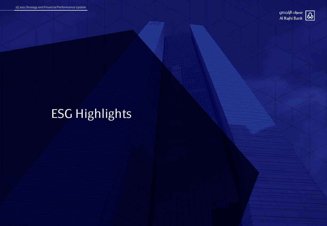

# ESG Highlights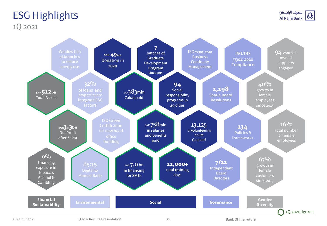### ESG Highlights 1Q 2021

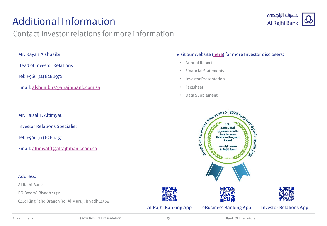## Additional Information

### Contact investor relations for more information



Mr. Rayan Alshuaibi

Head of Investor Relations

Tel: +966 (11) 828 1972

Email: [alshuaibirs@alrajhibank.com.sa](mailto:altimyatff@alrajhibank.com.sa)

Mr. Faisal F. Altimyat

Investor Relations Specialist

Tel: +966 (11) 828 1457

Email: [altimyatff@alrajhibank.com.sa](mailto:altimyatff@alrajhibank.com.sa)

#### Address:

Al Rajhi Bank

PO Box: 28 Riyadh 11411

8467 King Fahd Branch Rd, Al Muruj, Riyadh 11564

#### Visit our website ([here\)](https://www.alrajhibank.com.sa/en/alrajhi-group/investor-relations) for more Investor disclosers:

- Annual Report
- Financial Statements
- Investor Presentation
- Factsheet
- Data Supplement









#### Al-Rajhi Banking App eBusiness Banking App Investor Relations App